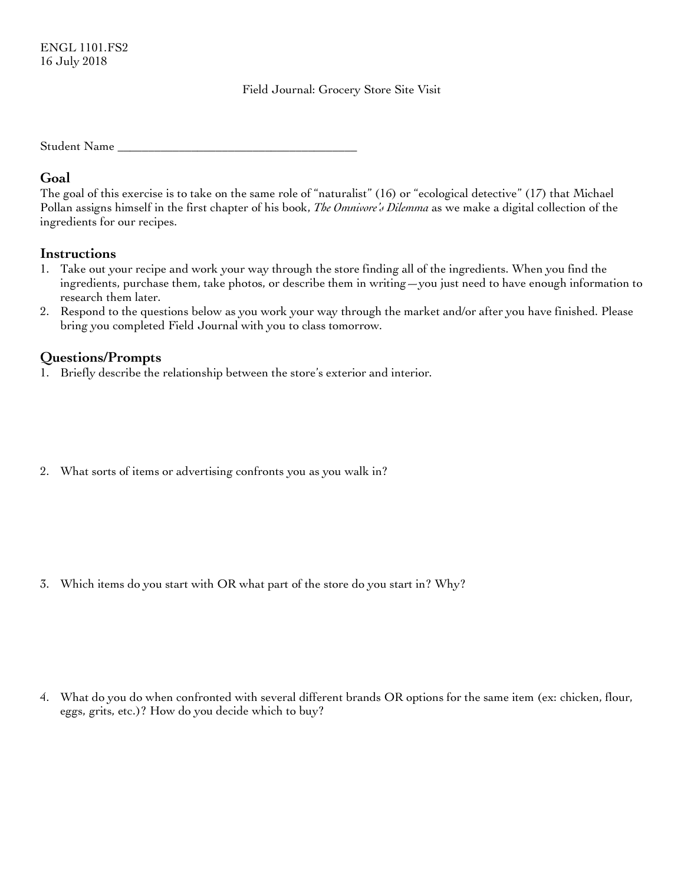## Field Journal: Grocery Store Site Visit

## **Goal**

The goal of this exercise is to take on the same role of "naturalist" (16) or "ecological detective" (17) that Michael Pollan assigns himself in the first chapter of his book, *The Omnivore's Dilemma* as we make a digital collection of the ingredients for our recipes.

## **Instructions**

- 1. Take out your recipe and work your way through the store finding all of the ingredients. When you find the ingredients, purchase them, take photos, or describe them in writing—you just need to have enough information to research them later.
- 2. Respond to the questions below as you work your way through the market and/or after you have finished. Please bring you completed Field Journal with you to class tomorrow.

## **Questions/Prompts**

- 1. Briefly describe the relationship between the store's exterior and interior.
- 2. What sorts of items or advertising confronts you as you walk in?

3. Which items do you start with OR what part of the store do you start in? Why?

4. What do you do when confronted with several different brands OR options for the same item (ex: chicken, flour, eggs, grits, etc.)? How do you decide which to buy?